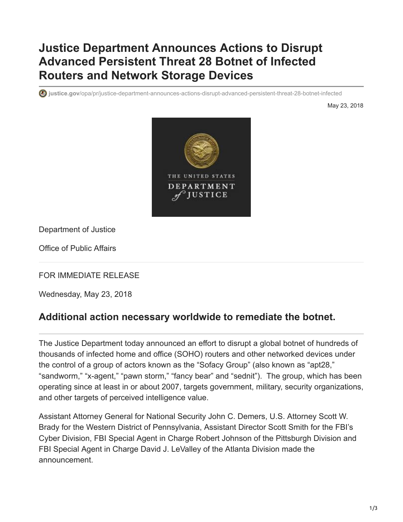## **Justice Department Announces Actions to Disrupt Advanced Persistent Threat 28 Botnet of Infected Routers and Network Storage Devices**

**justice.gov**[/opa/pr/justice-department-announces-actions-disrupt-advanced-persistent-threat-28-botnet-infected](https://www.justice.gov/opa/pr/justice-department-announces-actions-disrupt-advanced-persistent-threat-28-botnet-infected)

May 23, 2018



Department of Justice

Office of Public Affairs

FOR IMMEDIATE RELEASE

Wednesday, May 23, 2018

## **Additional action necessary worldwide to remediate the botnet.**

The Justice Department today announced an effort to disrupt a global botnet of hundreds of thousands of infected home and office (SOHO) routers and other networked devices under the control of a group of actors known as the "Sofacy Group" (also known as "apt28," "sandworm," "x-agent," "pawn storm," "fancy bear" and "sednit"). The group, which has been operating since at least in or about 2007, targets government, military, security organizations, and other targets of perceived intelligence value.

Assistant Attorney General for National Security John C. Demers, U.S. Attorney Scott W. Brady for the Western District of Pennsylvania, Assistant Director Scott Smith for the FBI's Cyber Division, FBI Special Agent in Charge Robert Johnson of the Pittsburgh Division and FBI Special Agent in Charge David J. LeValley of the Atlanta Division made the announcement.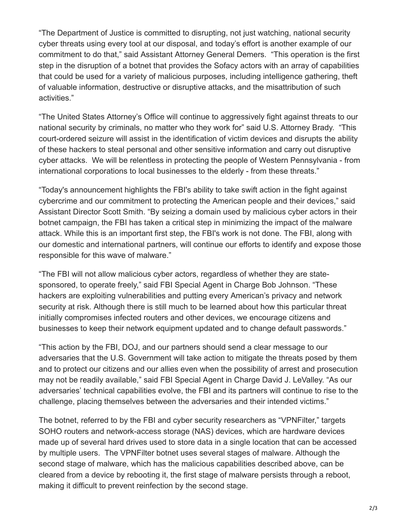"The Department of Justice is committed to disrupting, not just watching, national security cyber threats using every tool at our disposal, and today's effort is another example of our commitment to do that," said Assistant Attorney General Demers. "This operation is the first step in the disruption of a botnet that provides the Sofacy actors with an array of capabilities that could be used for a variety of malicious purposes, including intelligence gathering, theft of valuable information, destructive or disruptive attacks, and the misattribution of such activities."

"The United States Attorney's Office will continue to aggressively fight against threats to our national security by criminals, no matter who they work for" said U.S. Attorney Brady. "This court-ordered seizure will assist in the identification of victim devices and disrupts the ability of these hackers to steal personal and other sensitive information and carry out disruptive cyber attacks. We will be relentless in protecting the people of Western Pennsylvania - from international corporations to local businesses to the elderly - from these threats."

"Today's announcement highlights the FBI's ability to take swift action in the fight against cybercrime and our commitment to protecting the American people and their devices," said Assistant Director Scott Smith. "By seizing a domain used by malicious cyber actors in their botnet campaign, the FBI has taken a critical step in minimizing the impact of the malware attack. While this is an important first step, the FBI's work is not done. The FBI, along with our domestic and international partners, will continue our efforts to identify and expose those responsible for this wave of malware."

"The FBI will not allow malicious cyber actors, regardless of whether they are statesponsored, to operate freely," said FBI Special Agent in Charge Bob Johnson. "These hackers are exploiting vulnerabilities and putting every American's privacy and network security at risk. Although there is still much to be learned about how this particular threat initially compromises infected routers and other devices, we encourage citizens and businesses to keep their network equipment updated and to change default passwords."

"This action by the FBI, DOJ, and our partners should send a clear message to our adversaries that the U.S. Government will take action to mitigate the threats posed by them and to protect our citizens and our allies even when the possibility of arrest and prosecution may not be readily available," said FBI Special Agent in Charge David J. LeValley. "As our adversaries' technical capabilities evolve, the FBI and its partners will continue to rise to the challenge, placing themselves between the adversaries and their intended victims."

The botnet, referred to by the FBI and cyber security researchers as "VPNFilter," targets SOHO routers and network-access storage (NAS) devices, which are hardware devices made up of several hard drives used to store data in a single location that can be accessed by multiple users. The VPNFilter botnet uses several stages of malware. Although the second stage of malware, which has the malicious capabilities described above, can be cleared from a device by rebooting it, the first stage of malware persists through a reboot, making it difficult to prevent reinfection by the second stage.